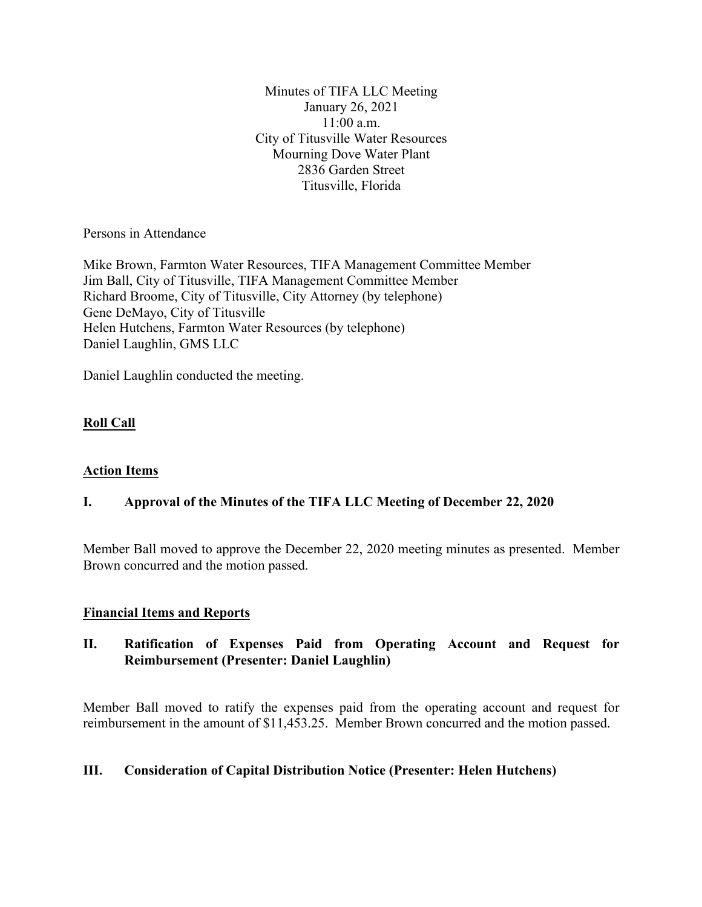Minutes of TIFA LLC Meeting January 26, 2021 11:00 a.m. City of Titusville Water Resources Mourning Dove Water Plant 2836 Garden Street Titusville, Florida

Persons in Attendance

Mike Brown, Farmton Water Resources, TIFA Management Committee Member Jim Ball, City of Titusville, TIFA Management Committee Member Richard Broome, City of Titusville, City Attorney (by telephone) Gene DeMayo, City of Titusville Helen Hutchens, Farmton Water Resources (by telephone) Daniel Laughlin, GMS LLC

Daniel Laughlin conducted the meeting.

# **Roll Call**

# **Action Items**

# **I. Approval of the Minutes of the TIFA LLC Meeting of December 22, 2020**

Member Ball moved to approve the December 22, 2020 meeting minutes as presented. Member Brown concurred and the motion passed.

# **Financial Items and Reports**

# **II. Ratification of Expenses Paid from Operating Account and Request for Reimbursement (Presenter: Daniel Laughlin)**

Member Ball moved to ratify the expenses paid from the operating account and request for reimbursement in the amount of \$11,453.25. Member Brown concurred and the motion passed.

# **III. Consideration of Capital Distribution Notice (Presenter: Helen Hutchens)**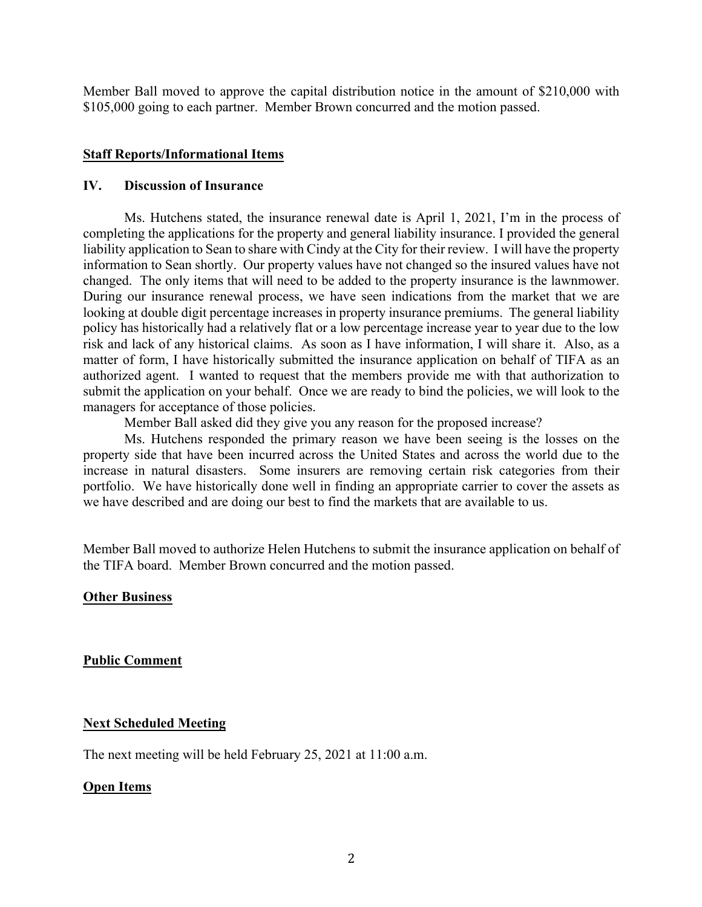Member Ball moved to approve the capital distribution notice in the amount of \$210,000 with \$105,000 going to each partner. Member Brown concurred and the motion passed.

## **Staff Reports/Informational Items**

#### **IV. Discussion of Insurance**

Ms. Hutchens stated, the insurance renewal date is April 1, 2021, I'm in the process of completing the applications for the property and general liability insurance. I provided the general liability application to Sean to share with Cindy at the City for their review. I will have the property information to Sean shortly. Our property values have not changed so the insured values have not changed. The only items that will need to be added to the property insurance is the lawnmower. During our insurance renewal process, we have seen indications from the market that we are looking at double digit percentage increases in property insurance premiums. The general liability policy has historically had a relatively flat or a low percentage increase year to year due to the low risk and lack of any historical claims. As soon as I have information, I will share it. Also, as a matter of form, I have historically submitted the insurance application on behalf of TIFA as an authorized agent. I wanted to request that the members provide me with that authorization to submit the application on your behalf. Once we are ready to bind the policies, we will look to the managers for acceptance of those policies.

Member Ball asked did they give you any reason for the proposed increase?

Ms. Hutchens responded the primary reason we have been seeing is the losses on the property side that have been incurred across the United States and across the world due to the increase in natural disasters. Some insurers are removing certain risk categories from their portfolio. We have historically done well in finding an appropriate carrier to cover the assets as we have described and are doing our best to find the markets that are available to us.

Member Ball moved to authorize Helen Hutchens to submit the insurance application on behalf of the TIFA board. Member Brown concurred and the motion passed.

**Other Business**

**Public Comment**

## **Next Scheduled Meeting**

The next meeting will be held February 25, 2021 at 11:00 a.m.

## **Open Items**